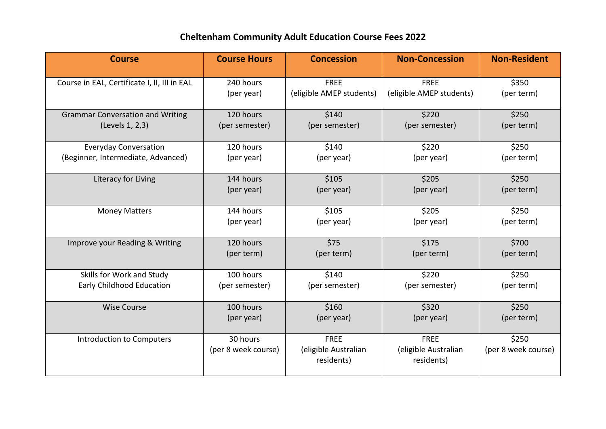## **Cheltenham Community Adult Education Course Fees 2022**

| <b>Course</b>                                | <b>Course Hours</b>             | <b>Concession</b>                                 | <b>Non-Concession</b>                             | <b>Non-Resident</b>          |
|----------------------------------------------|---------------------------------|---------------------------------------------------|---------------------------------------------------|------------------------------|
| Course in EAL, Certificate I, II, III in EAL | 240 hours                       | <b>FREE</b>                                       | <b>FREE</b>                                       | \$350                        |
|                                              | (per year)                      | (eligible AMEP students)                          | (eligible AMEP students)                          | (per term)                   |
| <b>Grammar Conversation and Writing</b>      | 120 hours                       | \$140                                             | \$220                                             | \$250                        |
| (Levels 1, 2,3)                              | (per semester)                  | (per semester)                                    | (per semester)                                    | (per term)                   |
| <b>Everyday Conversation</b>                 | 120 hours                       | \$140                                             | \$220                                             | \$250                        |
| (Beginner, Intermediate, Advanced)           | (per year)                      | (per year)                                        | (per year)                                        | (per term)                   |
| Literacy for Living                          | 144 hours                       | \$105                                             | \$205                                             | \$250                        |
|                                              | (per year)                      | (per year)                                        | (per year)                                        | (per term)                   |
| <b>Money Matters</b>                         | 144 hours                       | \$105                                             | \$205                                             | \$250                        |
|                                              | (per year)                      | (per year)                                        | (per year)                                        | (per term)                   |
| Improve your Reading & Writing               | 120 hours                       | \$75                                              | \$175                                             | \$700                        |
|                                              | (per term)                      | (per term)                                        | (per term)                                        | (per term)                   |
| Skills for Work and Study                    | 100 hours                       | \$140                                             | \$220                                             | \$250                        |
| Early Childhood Education                    | (per semester)                  | (per semester)                                    | (per semester)                                    | (per term)                   |
| <b>Wise Course</b>                           | 100 hours                       | \$160                                             | \$320                                             | \$250                        |
|                                              | (per year)                      | (per year)                                        | (per year)                                        | (per term)                   |
| <b>Introduction to Computers</b>             | 30 hours<br>(per 8 week course) | <b>FREE</b><br>(eligible Australian<br>residents) | <b>FREE</b><br>(eligible Australian<br>residents) | \$250<br>(per 8 week course) |